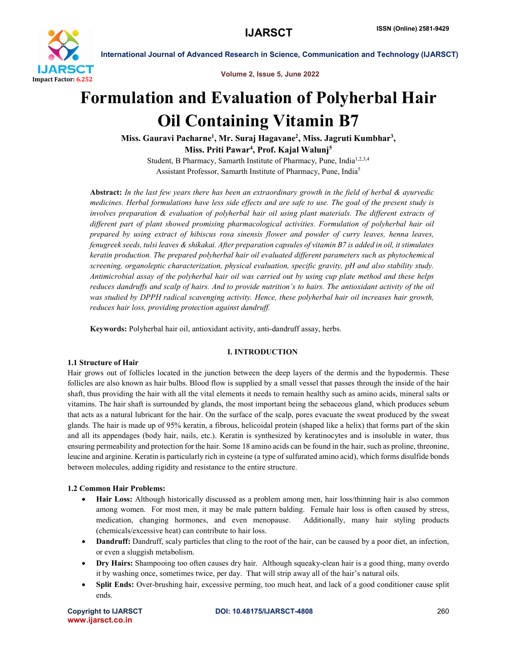

Volume 2, Issue 5, June 2022

# Formulation and Evaluation of Polyherbal Hair Oil Containing Vitamin B7

Miss. Gauravi Pacharne<sup>1</sup>, Mr. Suraj Hagavane<sup>2</sup>, Miss. Jagruti Kumbhar<sup>3</sup>, Miss. Priti Pawar<sup>4</sup>, Prof. Kajal Walunj<sup>5</sup>

Student, B Pharmacy, Samarth Institute of Pharmacy, Pune, India<sup>1,2,3,4</sup> Assistant Professor, Samarth Institute of Pharmacy, Pune, India5

Abstract: *In the last few years there has been an extraordinary growth in the field of herbal & ayurvedic medicines. Herbal formulations have less side effects and are safe to use. The goal of the present study is involves preparation & evaluation of polyherbal hair oil using plant materials. The different extracts of different part of plant showed promising pharmacological activities. Formulation of polyherbal hair oil prepared by using extract of hibiscus rosa sinensis flower and powder of curry leaves, henna leaves, fenugreek seeds, tulsi leaves & shikakai. After preparation capsules of vitamin B7 is added in oil, it stimulates keratin production. The prepared polyherbal hair oil evaluated different parameters such as phytochemical screening, organoleptic characterization, physical evaluation, specific gravity, pH and also stability study. Antimicrobial assay of the polyherbal hair oil was carried out by using cup plate method and these helps reduces dandruffs and scalp of hairs. And to provide nutrition's to hairs. The antioxidant activity of the oil was studied by DPPH radical scavenging activity. Hence, these polyherbal hair oil increases hair growth, reduces hair loss, providing protection against dandruff.*

Keywords: Polyherbal hair oil, antioxidant activity, anti-dandruff assay, herbs.

# I. INTRODUCTION

# 1.1 Structure of Hair

Hair grows out of follicles located in the junction between the deep layers of the dermis and the hypodermis. These follicles are also known as hair bulbs. Blood flow is supplied by a small vessel that passes through the inside of the hair shaft, thus providing the hair with all the vital elements it needs to remain healthy such as amino acids, mineral salts or vitamins. The hair shaft is surrounded by glands, the most important being the sebaceous gland, which produces sebum that acts as a natural lubricant for the hair. On the surface of the scalp, pores evacuate the sweat produced by the sweat glands. The hair is made up of 95% keratin, a fibrous, helicoidal protein (shaped like a helix) that forms part of the skin and all its appendages (body hair, nails, etc.). Keratin is synthesized by keratinocytes and is insoluble in water, thus ensuring permeability and protection for the hair. Some 18 amino acids can be found in the hair, such as proline, threonine, leucine and arginine. Keratin is particularly rich in cysteine (a type of sulfurated amino acid), which forms disulfide bonds between molecules, adding rigidity and resistance to the entire structure.

### 1.2 Common Hair Problems:

- Hair Loss: Although historically discussed as a problem among men, hair loss/thinning hair is also common among women. For most men, it may be male pattern balding. Female hair loss is often caused by stress, medication, changing hormones, and even menopause. Additionally, many hair styling products (chemicals/excessive heat) can contribute to hair loss.
- Dandruff: Dandruff, scaly particles that cling to the root of the hair, can be caused by a poor diet, an infection, or even a sluggish metabolism.
- Dry Hairs: Shampooing too often causes dry hair. Although squeaky-clean hair is a good thing, many overdo it by washing once, sometimes twice, per day. That will strip away all of the hair's natural oils.
- Split Ends: Over-brushing hair, excessive perming, too much heat, and lack of a good conditioner cause split ends.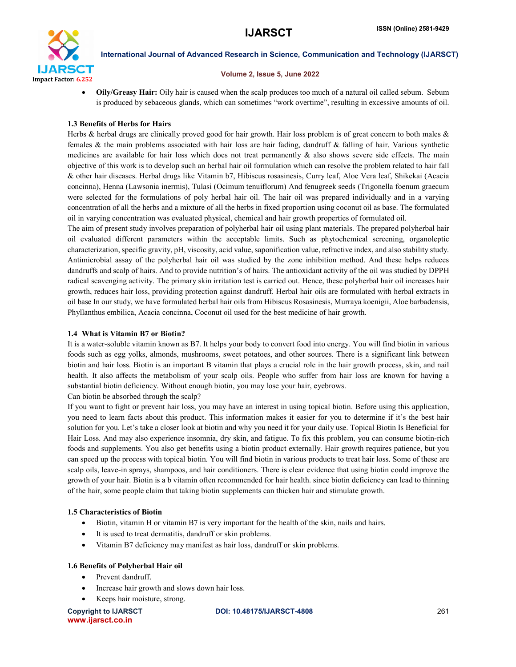

#### Volume 2, Issue 5, June 2022

 Oily/Greasy Hair: Oily hair is caused when the scalp produces too much of a natural oil called sebum. Sebum is produced by sebaceous glands, which can sometimes "work overtime", resulting in excessive amounts of oil.

# 1.3 Benefits of Herbs for Hairs

Herbs & herbal drugs are clinically proved good for hair growth. Hair loss problem is of great concern to both males & females & the main problems associated with hair loss are hair fading, dandruff & falling of hair. Various synthetic medicines are available for hair loss which does not treat permanently  $\&$  also shows severe side effects. The main objective of this work is to develop such an herbal hair oil formulation which can resolve the problem related to hair fall & other hair diseases. Herbal drugs like Vitamin b7, Hibiscus rosasinesis, Curry leaf, Aloe Vera leaf, Shikekai (Acacia concinna), Henna (Lawsonia inermis), Tulasi (Ocimum tenuiflorum) And fenugreek seeds (Trigonella foenum graecum were selected for the formulations of poly herbal hair oil. The hair oil was prepared individually and in a varying concentration of all the herbs and a mixture of all the herbs in fixed proportion using coconut oil as base. The formulated oil in varying concentration was evaluated physical, chemical and hair growth properties of formulated oil.

The aim of present study involves preparation of polyherbal hair oil using plant materials. The prepared polyherbal hair oil evaluated different parameters within the acceptable limits. Such as phytochemical screening, organoleptic characterization, specific gravity, pH, viscosity, acid value, saponification value, refractive index, and also stability study. Antimicrobial assay of the polyherbal hair oil was studied by the zone inhibition method. And these helps reduces dandruffs and scalp of hairs. And to provide nutrition's of hairs. The antioxidant activity of the oil was studied by DPPH radical scavenging activity. The primary skin irritation test is carried out. Hence, these polyherbal hair oil increases hair growth, reduces hair loss, providing protection against dandruff. Herbal hair oils are formulated with herbal extracts in oil base In our study, we have formulated herbal hair oils from Hibiscus Rosasinesis, Murraya koenigii, Aloe barbadensis, Phyllanthus embilica, Acacia concinna, Coconut oil used for the best medicine of hair growth.

### 1.4 What is Vitamin B7 or Biotin?

It is a water-soluble vitamin known as B7. It helps your body to convert food into energy. You will find biotin in various foods such as egg yolks, almonds, mushrooms, sweet potatoes, and other sources. There is a significant link between biotin and hair loss. Biotin is an important B vitamin that plays a crucial role in the hair growth process, skin, and nail health. It also affects the metabolism of your scalp oils. People who suffer from hair loss are known for having a substantial biotin deficiency. Without enough biotin, you may lose your hair, eyebrows.

Can biotin be absorbed through the scalp?

If you want to fight or prevent hair loss, you may have an interest in using topical biotin. Before using this application, you need to learn facts about this product. This information makes it easier for you to determine if it's the best hair solution for you. Let's take a closer look at biotin and why you need it for your daily use. Topical Biotin Is Beneficial for Hair Loss. And may also experience insomnia, dry skin, and fatigue. To fix this problem, you can consume biotin-rich foods and supplements. You also get benefits using a biotin product externally. Hair growth requires patience, but you can speed up the process with topical biotin. You will find biotin in various products to treat hair loss. Some of these are scalp oils, leave-in sprays, shampoos, and hair conditioners. There is clear evidence that using biotin could improve the growth of your hair. Biotin is a b vitamin often recommended for hair health. since biotin deficiency can lead to thinning of the hair, some people claim that taking biotin supplements can thicken hair and stimulate growth.

# 1.5 Characteristics of Biotin

- Biotin, vitamin H or vitamin B7 is very important for the health of the skin, nails and hairs.
- It is used to treat dermatitis, dandruff or skin problems.
- Vitamin B7 deficiency may manifest as hair loss, dandruff or skin problems.

# 1.6 Benefits of Polyherbal Hair oil

- Prevent dandruff.
- Increase hair growth and slows down hair loss.
- Keeps hair moisture, strong.

www.ijarsct.co.in

Copyright to IJARSCT DOI: 10.48175/IJARSCT-4808 261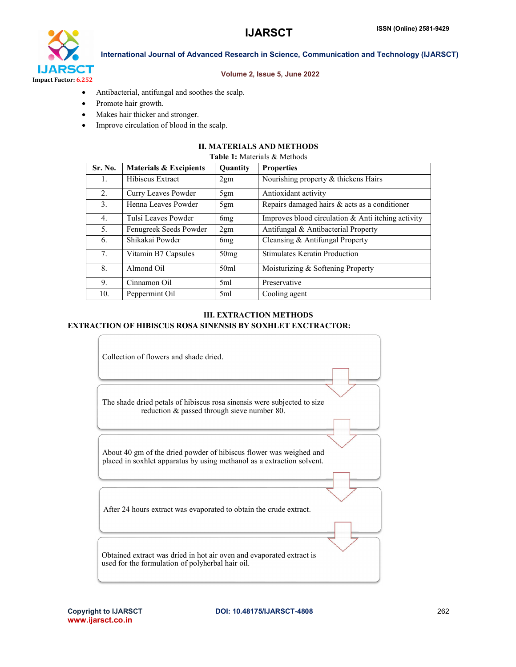

### Volume 2, Issue 5, June 2022

International Journal of Advanced Research in Science, Communication and Technology (IJARSCT)

- Antibacterial, antifungal and soothes the scalp.
- Promote hair growth.
- Makes hair thicker and stronger.
- Improve circulation of blood in the scalp.

# II. MATERIALS AND METHODS

#### Table 1: Materials & Methods

| Sr. No.        | <b>Materials &amp; Excipients</b> | Quantity         | <b>Properties</b>                                     |
|----------------|-----------------------------------|------------------|-------------------------------------------------------|
| 1.             | Hibiscus Extract                  | 2gm              | Nourishing property & thickens Hairs                  |
| 2.             | Curry Leaves Powder               | 5gm              | Antioxidant activity                                  |
| 3 <sub>1</sub> | Henna Leaves Powder               | 5gm              | Repairs damaged hairs & acts as a conditioner         |
| 4 <sub>1</sub> | Tulsi Leaves Powder               | 6 <sub>mg</sub>  | Improves blood circulation $\&$ Anti itching activity |
| 5.             | Fenugreek Seeds Powder            | 2gm              | Antifungal & Antibacterial Property                   |
| 6.             | Shikakai Powder                   | 6 <sub>mg</sub>  | Cleansing & Antifungal Property                       |
| 7.             | Vitamin B7 Capsules               | 50 <sub>mg</sub> | Stimulates Keratin Production                         |
| 8.             | Almond Oil                        | 50 <sub>m</sub>  | Moisturizing & Softening Property                     |
| 9.             | Cinnamon Oil                      | 5ml              | Preservative                                          |
| 10.            | Peppermint Oil                    | 5ml              | Cooling agent                                         |

# III. EXTRACTION METHODS

# EXTRACTION OF HIBISCUS ROSA SINENSIS BY SOXHLET EXCTRACTOR:

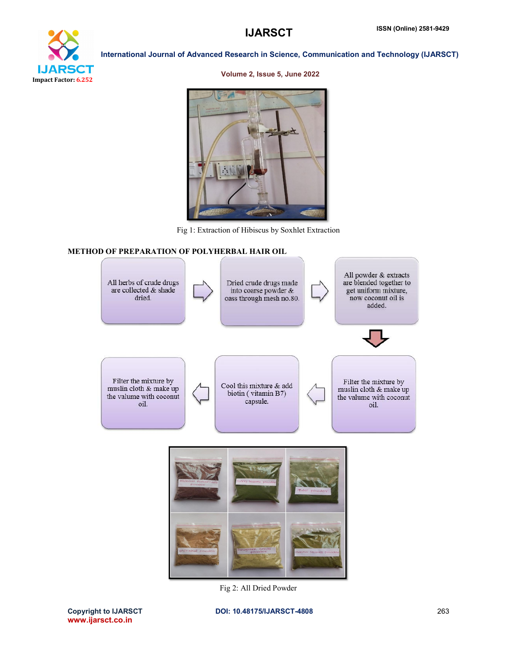

#### Volume 2, Issue 5, June 2022



Fig 1: Extraction of Hibiscus by Soxhlet Extraction

# METHOD OF PREPARATION OF POLYHERBAL HAIR OIL



Fig 2: All Dried Powder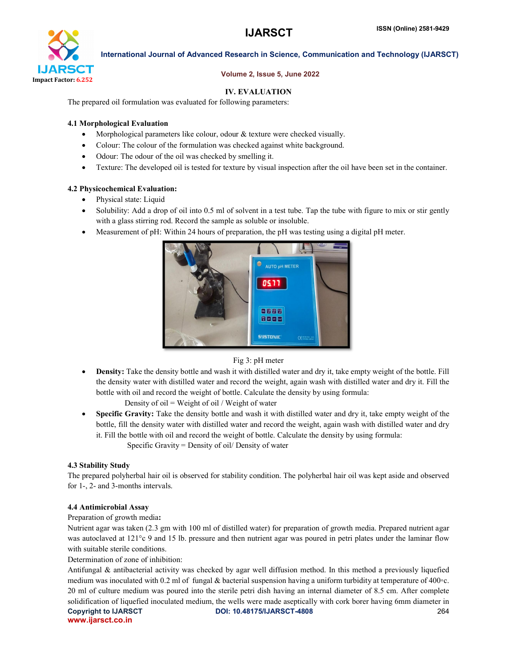

# Volume 2, Issue 5, June 2022

# IV. EVALUATION

The prepared oil formulation was evaluated for following parameters:

# 4.1 Morphological Evaluation

- Morphological parameters like colour, odour & texture were checked visually.
- Colour: The colour of the formulation was checked against white background.
- Odour: The odour of the oil was checked by smelling it.
- Texture: The developed oil is tested for texture by visual inspection after the oil have been set in the container.

# 4.2 Physicochemical Evaluation:

- Physical state: Liquid
- Solubility: Add a drop of oil into 0.5 ml of solvent in a test tube. Tap the tube with figure to mix or stir gently with a glass stirring rod. Record the sample as soluble or insoluble.
- Measurement of pH: Within 24 hours of preparation, the pH was testing using a digital pH meter.



# Fig 3: pH meter

 Density: Take the density bottle and wash it with distilled water and dry it, take empty weight of the bottle. Fill the density water with distilled water and record the weight, again wash with distilled water and dry it. Fill the bottle with oil and record the weight of bottle. Calculate the density by using formula:

Density of oil = Weight of oil / Weight of water

 Specific Gravity: Take the density bottle and wash it with distilled water and dry it, take empty weight of the bottle, fill the density water with distilled water and record the weight, again wash with distilled water and dry it. Fill the bottle with oil and record the weight of bottle. Calculate the density by using formula: Specific Gravity = Density of oil/ Density of water

# 4.3 Stability Study

The prepared polyherbal hair oil is observed for stability condition. The polyherbal hair oil was kept aside and observed for 1-, 2- and 3-months intervals.

### 4.4 Antimicrobial Assay

### Preparation of growth media:

Nutrient agar was taken (2.3 gm with 100 ml of distilled water) for preparation of growth media. Prepared nutrient agar was autoclaved at 121<sup>o</sup>c 9 and 15 lb. pressure and then nutrient agar was poured in petri plates under the laminar flow with suitable sterile conditions.

Determination of zone of inhibition:

Copyright to IJARSCT DOI: 10.48175/IJARSCT-4808 264 www.ijarsct.co.in Antifungal & antibacterial activity was checked by agar well diffusion method. In this method a previously liquefied medium was inoculated with 0.2 ml of fungal & bacterial suspension having a uniform turbidity at temperature of 400◦c. 20 ml of culture medium was poured into the sterile petri dish having an internal diameter of 8.5 cm. After complete solidification of liquefied inoculated medium, the wells were made aseptically with cork borer having 6mm diameter in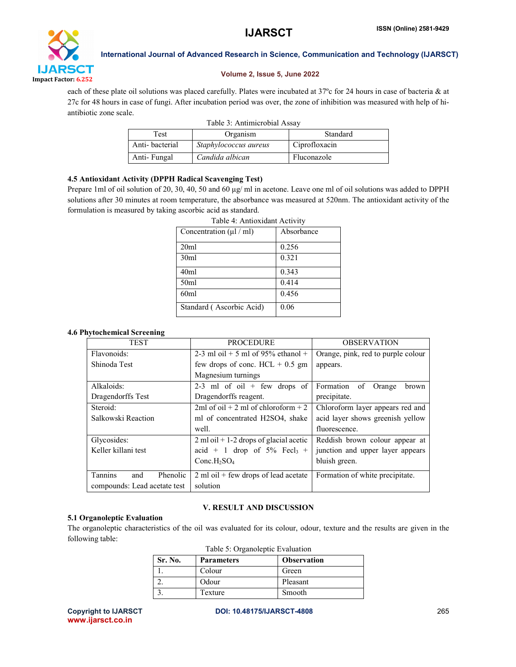

# Volume 2, Issue 5, June 2022

each of these plate oil solutions was placed carefully. Plates were incubated at 37°c for 24 hours in case of bacteria & at 27c for 48 hours in case of fungi. After incubation period was over, the zone of inhibition was measured with help of hiantibiotic zone scale.

| Table 3: Antimicrobial Assay |                       |               |
|------------------------------|-----------------------|---------------|
| Test                         | Organism              | Standard      |
| Anti-bacterial               | Staphylococcus aureus | Ciprofloxacin |
| Anti-Fungal                  | Candida albican       | Fluconazole   |

# 4.5 Antioxidant Activity (DPPH Radical Scavenging Test)

Prepare 1ml of oil solution of 20, 30, 40, 50 and 60 μg/ ml in acetone. Leave one ml of oil solutions was added to DPPH solutions after 30 minutes at room temperature, the absorbance was measured at 520nm. The antioxidant activity of the formulation is measured by taking ascorbic acid as standard.

| Concentration $(\mu l / ml)$ | Absorbance |
|------------------------------|------------|
| 20ml                         | 0.256      |
| 30ml                         | 0.321      |
| 40ml                         | 0.343      |
| 50ml                         | 0.414      |
| 60ml                         | 0.456      |
| Standard (Ascorbic Acid)     | 0.06       |

Table 4: Antioxidant Activity

# 4.6 Phytochemical Screening

| <b>TEST</b>                  | <b>PROCEDURE</b>                                           | <b>OBSERVATION</b>                 |
|------------------------------|------------------------------------------------------------|------------------------------------|
| Flavonoids:                  | 2-3 ml oil + 5 ml of 95% ethanol +                         | Orange, pink, red to purple colour |
| Shinoda Test                 | few drops of conc. $HCL + 0.5$ gm                          | appears.                           |
|                              | Magnesium turnings                                         |                                    |
| Alkaloids:                   | 2-3 ml of oil + few drops of                               | Formation<br>of<br>Orange<br>brown |
| Dragendorffs Test            | Dragendorffs reagent.                                      | precipitate.                       |
| Steroid:                     | 2ml of oil $+2$ ml of chloroform $+2$                      | Chloroform layer appears red and   |
| Salkowski Reaction           | ml of concentrated H2SO4, shake                            | acid layer shows greenish yellow   |
|                              | well.                                                      | fluorescence.                      |
| Glycosides:                  | $2 \text{ ml oil} + 1 - 2 \text{ drops of glacial acetic}$ | Reddish brown colour appear at     |
| Keller killani test          | acid + 1 drop of $5\%$ Fecl <sub>3</sub> +                 | junction and upper layer appears   |
|                              | Conc.H <sub>2</sub> SO <sub>4</sub>                        | bluish green.                      |
| Tannins<br>Phenolic<br>and   | $2$ ml oil + few drops of lead acetate                     | Formation of white precipitate.    |
| compounds: Lead acetate test | solution                                                   |                                    |

# V. RESULT AND DISCUSSION

# 5.1 Organoleptic Evaluation

The organoleptic characteristics of the oil was evaluated for its colour, odour, texture and the results are given in the following table:

|  | Table 5: Organoleptic Evaluation |  |
|--|----------------------------------|--|
|--|----------------------------------|--|

| Sr. No. | <b>Parameters</b> | <b>Observation</b> |
|---------|-------------------|--------------------|
|         | Colour            | Green              |
|         | Odour             | Pleasant           |
|         | Texture           | Smooth             |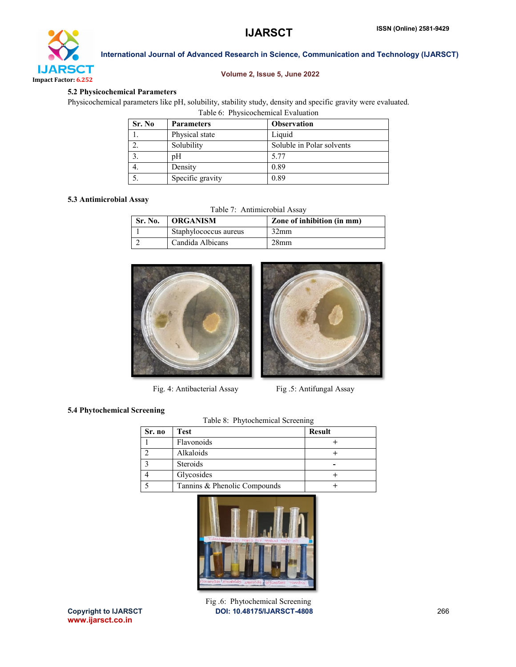

# Volume 2, Issue 5, June 2022

# 5.2 Physicochemical Parameters

Physicochemical parameters like pH, solubility, stability study, density and specific gravity were evaluated. Table 6: Physicochemical Evaluation

| Sr. No | <b>Parameters</b> | <b>Observation</b>        |
|--------|-------------------|---------------------------|
|        | Physical state    | Liquid                    |
|        | Solubility        | Soluble in Polar solvents |
|        | pΗ                | 5.77                      |
|        | Density           | 0.89                      |
|        | Specific gravity  | 0.89                      |

# 5.3 Antimicrobial Assay

Table 7: Antimicrobial Assay

| Sr. No. | <b>ORGANISM</b>       | Zone of inhibition (in mm) |
|---------|-----------------------|----------------------------|
|         | Staphylococcus aureus | 32 <sub>mm</sub>           |
|         | Candida Albicans      | 28 <sub>mm</sub>           |



Fig. 4: Antibacterial Assay Fig. 5: Antifungal Assay



# 5.4 Phytochemical Screening

| Table 8: Phytochemical Screening |                              |               |
|----------------------------------|------------------------------|---------------|
| Sr. no                           | Test                         | <b>Result</b> |
|                                  | Flavonoids                   |               |
|                                  | Alkaloids                    |               |
|                                  | Steroids                     |               |
|                                  | Glycosides                   |               |
|                                  | Tannins & Phenolic Compounds |               |

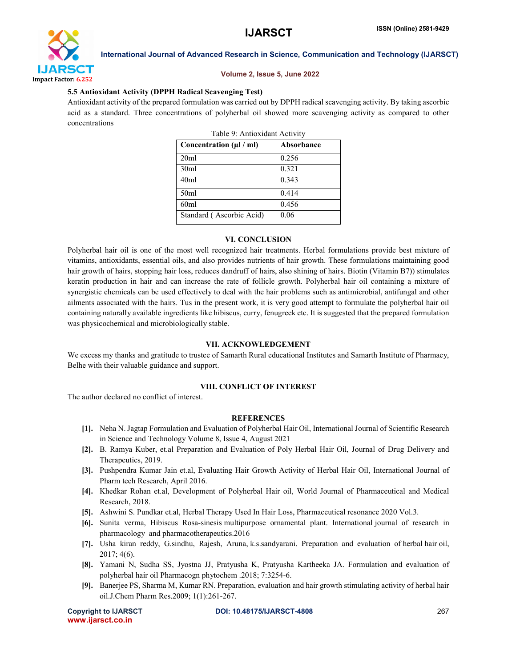

#### Volume 2, Issue 5, June 2022

#### 5.5 Antioxidant Activity (DPPH Radical Scavenging Test)

Antioxidant activity of the prepared formulation was carried out by DPPH radical scavenging activity. By taking ascorbic acid as a standard. Three concentrations of polyherbal oil showed more scavenging activity as compared to other concentrations

Table 9: Antioxidant Activity

| Taon 7. Thin Andan Tren view      |            |  |
|-----------------------------------|------------|--|
| Concentration $(\mu / \text{ml})$ | Absorbance |  |
| 20ml                              | 0.256      |  |
| 30ml                              | 0.321      |  |
| 40ml                              | 0.343      |  |
| 50 <sub>ml</sub>                  | 0.414      |  |
| 60ml                              | 0.456      |  |
| Standard (Ascorbic Acid)          | 0.06       |  |

#### VI. CONCLUSION

Polyherbal hair oil is one of the most well recognized hair treatments. Herbal formulations provide best mixture of vitamins, antioxidants, essential oils, and also provides nutrients of hair growth. These formulations maintaining good hair growth of hairs, stopping hair loss, reduces dandruff of hairs, also shining of hairs. Biotin (Vitamin B7)) stimulates keratin production in hair and can increase the rate of follicle growth. Polyherbal hair oil containing a mixture of synergistic chemicals can be used effectively to deal with the hair problems such as antimicrobial, antifungal and other ailments associated with the hairs. Tus in the present work, it is very good attempt to formulate the polyherbal hair oil containing naturally available ingredients like hibiscus, curry, fenugreek etc. It is suggested that the prepared formulation was physicochemical and microbiologically stable.

### VII. ACKNOWLEDGEMENT

We excess my thanks and gratitude to trustee of Samarth Rural educational Institutes and Samarth Institute of Pharmacy, Belhe with their valuable guidance and support.

### VIII. CONFLICT OF INTEREST

The author declared no conflict of interest.

#### **REFERENCES**

- [1]. Neha N. Jagtap Formulation and Evaluation of Polyherbal Hair Oil, International Journal of Scientific Research in Science and Technology Volume 8, Issue 4, August 2021
- [2]. B. Ramya Kuber, et.al Preparation and Evaluation of Poly Herbal Hair Oil, Journal of Drug Delivery and Therapeutics, 2019.
- [3]. Pushpendra Kumar Jain et.al, Evaluating Hair Growth Activity of Herbal Hair Oil, International Journal of Pharm tech Research, April 2016.
- [4]. Khedkar Rohan et.al, Development of Polyherbal Hair oil, World Journal of Pharmaceutical and Medical Research, 2018.
- [5]. Ashwini S. Pundkar et.al, Herbal Therapy Used In Hair Loss, Pharmaceutical resonance 2020 Vol.3.
- [6]. Sunita verma, Hibiscus Rosa-sinesis multipurpose ornamental plant. International journal of research in pharmacology and pharmacotherapeutics.2016
- [7]. Usha kiran reddy, G.sindhu, Rajesh, Aruna, k.s.sandyarani. Preparation and evaluation of herbal hair oil, 2017; 4(6).
- [8]. Yamani N, Sudha SS, Jyostna JJ, Pratyusha K, Pratyusha Kartheeka JA. Formulation and evaluation of polyherbal hair oil Pharmacogn phytochem .2018; 7:3254-6.
- [9]. Banerjee PS, Sharma M, Kumar RN. Preparation, evaluation and hair growth stimulating activity of herbal hair oil.J.Chem Pharm Res.2009; 1(1):261-267.